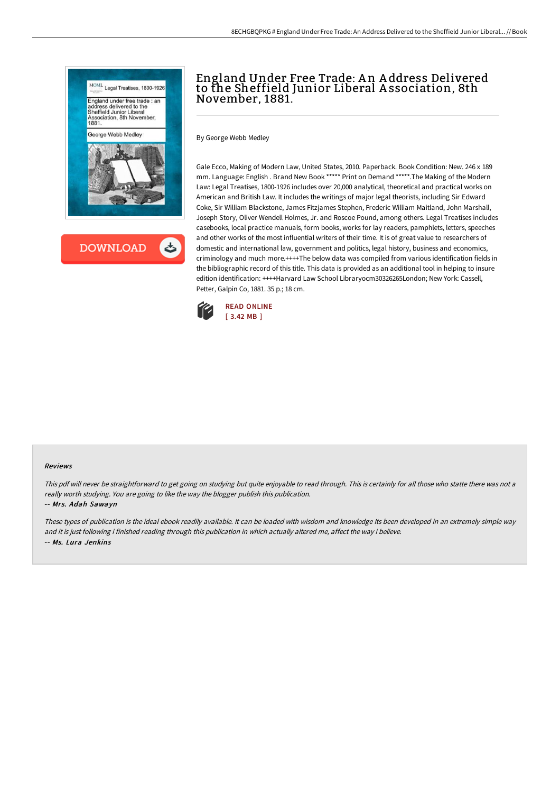



# England Under Free Trade: A n A ddress Delivered to the Sheffield Junior Liberal A ssociation, 8th November, 1881.

By George Webb Medley

Gale Ecco, Making of Modern Law, United States, 2010. Paperback. Book Condition: New. 246 x 189 mm. Language: English . Brand New Book \*\*\*\*\* Print on Demand \*\*\*\*\*.The Making of the Modern Law: Legal Treatises, 1800-1926 includes over 20,000 analytical, theoretical and practical works on American and British Law. It includes the writings of major legal theorists, including Sir Edward Coke, Sir William Blackstone, James Fitzjames Stephen, Frederic William Maitland, John Marshall, Joseph Story, Oliver Wendell Holmes, Jr. and Roscoe Pound, among others. Legal Treatises includes casebooks, local practice manuals, form books, works for lay readers, pamphlets, letters, speeches and other works of the most influential writers of their time. It is of great value to researchers of domestic and international law, government and politics, legal history, business and economics, criminology and much more.++++The below data was compiled from various identification fields in the bibliographic record of this title. This data is provided as an additional tool in helping to insure edition identification: ++++Harvard Law School Libraryocm30326265London; New York: Cassell, Petter, Galpin Co, 1881. 35 p.; 18 cm.



#### Reviews

This pdf will never be straightforward to get going on studying but quite enjoyable to read through. This is certainly for all those who statte there was not a really worth studying. You are going to like the way the blogger publish this publication.

#### -- Mrs. Adah Sawayn

These types of publication is the ideal ebook readily available. It can be loaded with wisdom and knowledge Its been developed in an extremely simple way and it is just following i finished reading through this publication in which actually altered me, affect the way i believe. -- Ms. Lura Jenkins